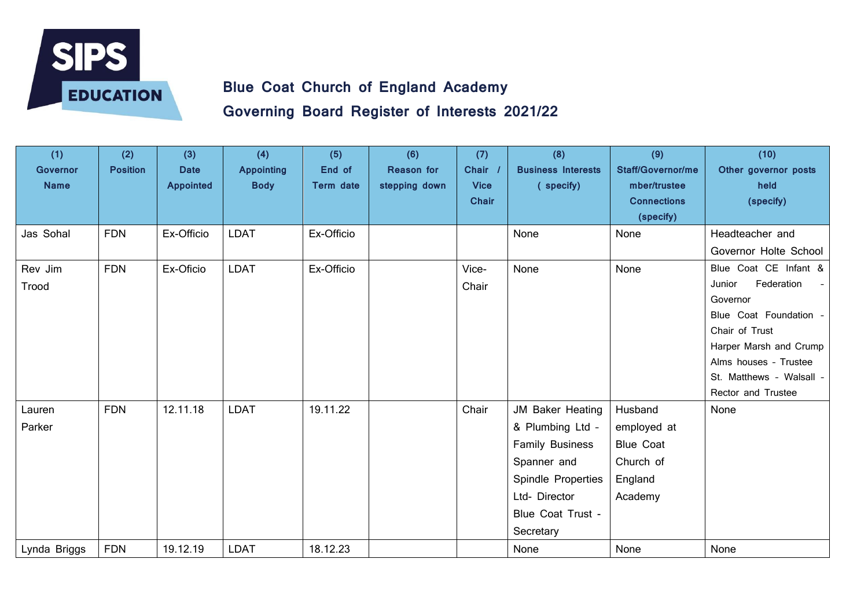

**Governing Board Register of Interests 2021/22**

| (1)<br><b>Governor</b><br><b>Name</b> | (2)<br><b>Position</b> | (3)<br><b>Date</b><br><b>Appointed</b> | (4)<br><b>Appointing</b><br><b>Body</b> | (5)<br>End of<br>Term date | (6)<br><b>Reason for</b><br>stepping down | (7)<br><b>Chair</b><br><b>Vice</b><br><b>Chair</b> | (8)<br><b>Business Interests</b><br>(specify)                                                                                                          | (9)<br><b>Staff/Governor/me</b><br>mber/trustee<br><b>Connections</b><br>(specify) | (10)<br>Other governor posts<br>held<br>(specify)                                                                                                                                                          |
|---------------------------------------|------------------------|----------------------------------------|-----------------------------------------|----------------------------|-------------------------------------------|----------------------------------------------------|--------------------------------------------------------------------------------------------------------------------------------------------------------|------------------------------------------------------------------------------------|------------------------------------------------------------------------------------------------------------------------------------------------------------------------------------------------------------|
| Jas Sohal                             | <b>FDN</b>             | Ex-Officio                             | <b>LDAT</b>                             | Ex-Officio                 |                                           |                                                    | None                                                                                                                                                   | None                                                                               | Headteacher and<br>Governor Holte School                                                                                                                                                                   |
| Rev Jim<br>Trood                      | <b>FDN</b>             | Ex-Oficio                              | <b>LDAT</b>                             | Ex-Officio                 |                                           | Vice-<br>Chair                                     | None                                                                                                                                                   | None                                                                               | Blue Coat CE Infant &<br>Federation<br>Junior<br>Governor<br>Blue Coat Foundation -<br>Chair of Trust<br>Harper Marsh and Crump<br>Alms houses - Trustee<br>St. Matthews - Walsall -<br>Rector and Trustee |
| Lauren<br>Parker                      | <b>FDN</b>             | 12.11.18                               | <b>LDAT</b>                             | 19.11.22                   |                                           | Chair                                              | JM Baker Heating<br>& Plumbing Ltd -<br><b>Family Business</b><br>Spanner and<br>Spindle Properties<br>Ltd- Director<br>Blue Coat Trust -<br>Secretary | Husband<br>employed at<br><b>Blue Coat</b><br>Church of<br>England<br>Academy      | None                                                                                                                                                                                                       |
| Lynda Briggs                          | <b>FDN</b>             | 19.12.19                               | LDAT                                    | 18.12.23                   |                                           |                                                    | None                                                                                                                                                   | None                                                                               | None                                                                                                                                                                                                       |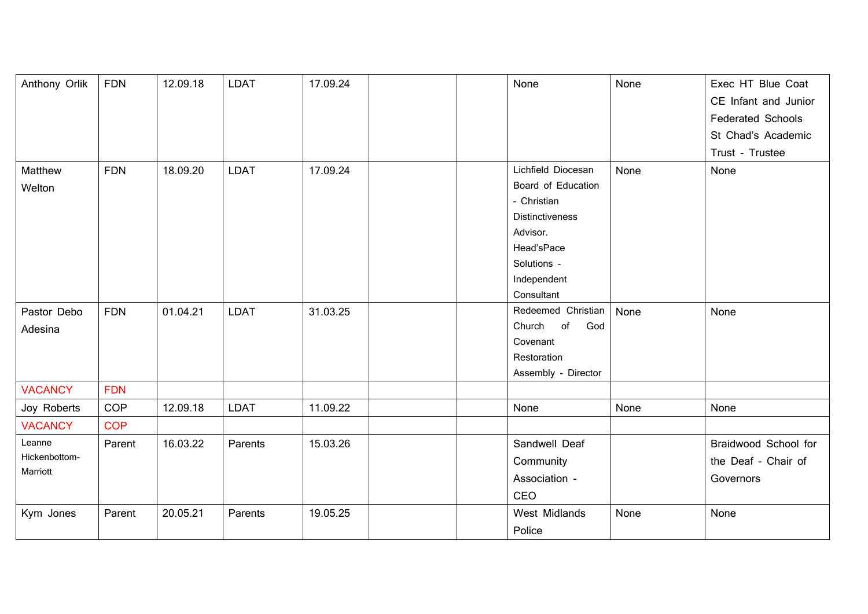| Anthony Orlik  | <b>FDN</b> | 12.09.18 | <b>LDAT</b> | 17.09.24 | None                   | None | Exec HT Blue Coat        |
|----------------|------------|----------|-------------|----------|------------------------|------|--------------------------|
|                |            |          |             |          |                        |      | CE Infant and Junior     |
|                |            |          |             |          |                        |      | <b>Federated Schools</b> |
|                |            |          |             |          |                        |      | St Chad's Academic       |
|                |            |          |             |          |                        |      | Trust - Trustee          |
| Matthew        | <b>FDN</b> | 18.09.20 | <b>LDAT</b> | 17.09.24 | Lichfield Diocesan     | None | None                     |
| Welton         |            |          |             |          | Board of Education     |      |                          |
|                |            |          |             |          | - Christian            |      |                          |
|                |            |          |             |          | <b>Distinctiveness</b> |      |                          |
|                |            |          |             |          | Advisor.               |      |                          |
|                |            |          |             |          | Head'sPace             |      |                          |
|                |            |          |             |          | Solutions -            |      |                          |
|                |            |          |             |          | Independent            |      |                          |
|                |            |          |             |          | Consultant             |      |                          |
| Pastor Debo    | <b>FDN</b> | 01.04.21 | <b>LDAT</b> | 31.03.25 | Redeemed Christian     | None | None                     |
| Adesina        |            |          |             |          | of<br>God<br>Church    |      |                          |
|                |            |          |             |          | Covenant               |      |                          |
|                |            |          |             |          | Restoration            |      |                          |
|                |            |          |             |          | Assembly - Director    |      |                          |
| <b>VACANCY</b> | <b>FDN</b> |          |             |          |                        |      |                          |
| Joy Roberts    | <b>COP</b> | 12.09.18 | <b>LDAT</b> | 11.09.22 | None                   | None | None                     |
| <b>VACANCY</b> | <b>COP</b> |          |             |          |                        |      |                          |
| Leanne         | Parent     | 16.03.22 | Parents     | 15.03.26 | Sandwell Deaf          |      | Braidwood School for     |
| Hickenbottom-  |            |          |             |          | Community              |      | the Deaf - Chair of      |
| Marriott       |            |          |             |          | Association -          |      | Governors                |
|                |            |          |             |          | CEO                    |      |                          |
| Kym Jones      | Parent     | 20.05.21 | Parents     | 19.05.25 | <b>West Midlands</b>   | None | None                     |
|                |            |          |             |          | Police                 |      |                          |